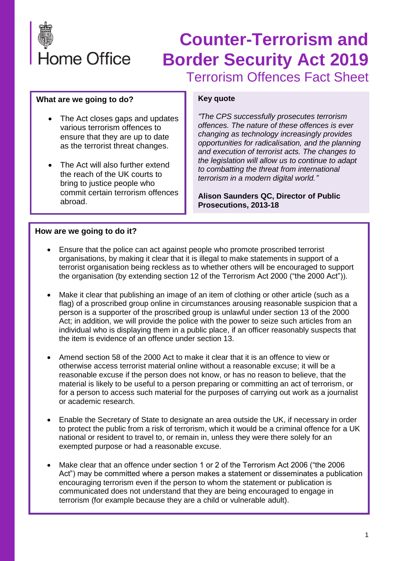

#### **What are we going to do?**

- The Act closes gaps and updates various terrorism offences to ensure that they are up to date as the terrorist threat changes.
- The Act will also further extend the reach of the UK courts to bring to justice people who commit certain terrorism offences abroad.

#### **Key quote**

*"The CPS successfully prosecutes terrorism offences. The nature of these offences is ever changing as technology increasingly provides opportunities for radicalisation, and the planning and execution of terrorist acts. The changes to the legislation will allow us to continue to adapt to combatting the threat from international terrorism in a modern digital world."*

**Alison Saunders QC, Director of Public Prosecutions, 2013-18**

#### **How are we going to do it?**

- Ensure that the police can act against people who promote proscribed terrorist organisations, by making it clear that it is illegal to make statements in support of a terrorist organisation being reckless as to whether others will be encouraged to support the organisation (by extending section 12 of the Terrorism Act 2000 ("the 2000 Act")).
- Make it clear that publishing an image of an item of clothing or other article (such as a flag) of a proscribed group online in circumstances arousing reasonable suspicion that a person is a supporter of the proscribed group is unlawful under section 13 of the 2000 Act; in addition, we will provide the police with the power to seize such articles from an individual who is displaying them in a public place, if an officer reasonably suspects that the item is evidence of an offence under section 13.
- Amend section 58 of the 2000 Act to make it clear that it is an offence to view or otherwise access terrorist material online without a reasonable excuse; it will be a reasonable excuse if the person does not know, or has no reason to believe, that the material is likely to be useful to a person preparing or committing an act of terrorism, or for a person to access such material for the purposes of carrying out work as a journalist or academic research.
- Enable the Secretary of State to designate an area outside the UK, if necessary in order to protect the public from a risk of terrorism, which it would be a criminal offence for a UK national or resident to travel to, or remain in, unless they were there solely for an exempted purpose or had a reasonable excuse.
- Make clear that an offence under section 1 or 2 of the Terrorism Act 2006 ("the 2006 Act") may be committed where a person makes a statement or disseminates a publication encouraging terrorism even if the person to whom the statement or publication is communicated does not understand that they are being encouraged to engage in terrorism (for example because they are a child or vulnerable adult).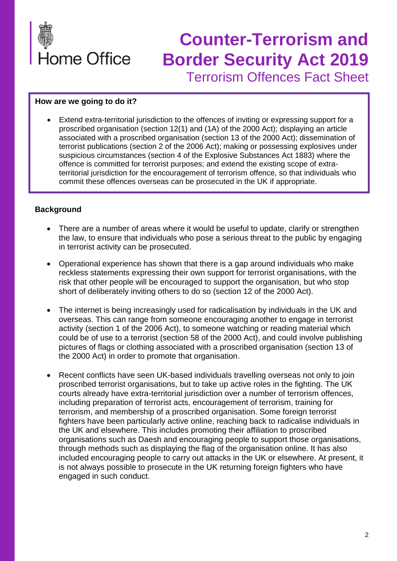

#### **How are we going to do it?**

• Extend extra-territorial jurisdiction to the offences of inviting or expressing support for a proscribed organisation (section 12(1) and (1A) of the 2000 Act); displaying an article associated with a proscribed organisation (section 13 of the 2000 Act); dissemination of terrorist publications (section 2 of the 2006 Act); making or possessing explosives under suspicious circumstances (section 4 of the Explosive Substances Act 1883) where the offence is committed for terrorist purposes; and extend the existing scope of extraterritorial jurisdiction for the encouragement of terrorism offence, so that individuals who commit these offences overseas can be prosecuted in the UK if appropriate.

#### **Background**

- There are a number of areas where it would be useful to update, clarify or strengthen the law, to ensure that individuals who pose a serious threat to the public by engaging in terrorist activity can be prosecuted.
- Operational experience has shown that there is a gap around individuals who make reckless statements expressing their own support for terrorist organisations, with the risk that other people will be encouraged to support the organisation, but who stop short of deliberately inviting others to do so (section 12 of the 2000 Act).
- The internet is being increasingly used for radicalisation by individuals in the UK and overseas. This can range from someone encouraging another to engage in terrorist activity (section 1 of the 2006 Act), to someone watching or reading material which could be of use to a terrorist (section 58 of the 2000 Act), and could involve publishing pictures of flags or clothing associated with a proscribed organisation (section 13 of the 2000 Act) in order to promote that organisation.
- Recent conflicts have seen UK-based individuals travelling overseas not only to join proscribed terrorist organisations, but to take up active roles in the fighting. The UK courts already have extra-territorial jurisdiction over a number of terrorism offences, including preparation of terrorist acts, encouragement of terrorism, training for terrorism, and membership of a proscribed organisation. Some foreign terrorist fighters have been particularly active online, reaching back to radicalise individuals in the UK and elsewhere. This includes promoting their affiliation to proscribed organisations such as Daesh and encouraging people to support those organisations, through methods such as displaying the flag of the organisation online. It has also included encouraging people to carry out attacks in the UK or elsewhere. At present, it is not always possible to prosecute in the UK returning foreign fighters who have engaged in such conduct.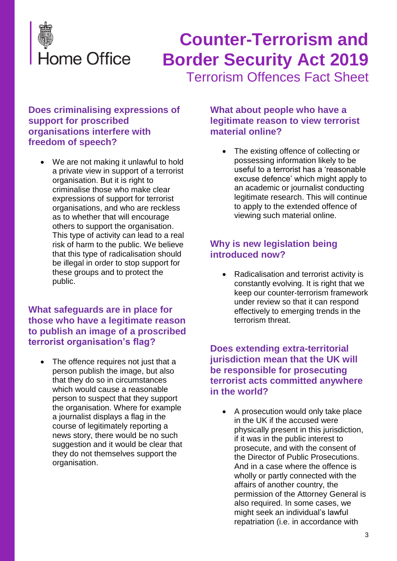

#### **Does criminalising expressions of support for proscribed organisations interfere with freedom of speech?**

We are not making it unlawful to hold a private view in support of a terrorist organisation. But it is right to criminalise those who make clear expressions of support for terrorist organisations, and who are reckless as to whether that will encourage others to support the organisation. This type of activity can lead to a real risk of harm to the public. We believe that this type of radicalisation should be illegal in order to stop support for these groups and to protect the public.

## **What safeguards are in place for those who have a legitimate reason to publish an image of a proscribed terrorist organisation's flag?**

The offence requires not just that a person publish the image, but also that they do so in circumstances which would cause a reasonable person to suspect that they support the organisation. Where for example a journalist displays a flag in the course of legitimately reporting a news story, there would be no such suggestion and it would be clear that they do not themselves support the organisation.

## **What about people who have a legitimate reason to view terrorist material online?**

• The existing offence of collecting or possessing information likely to be useful to a terrorist has a 'reasonable excuse defence' which might apply to an academic or journalist conducting legitimate research. This will continue to apply to the extended offence of viewing such material online.

## **Why is new legislation being introduced now?**

• Radicalisation and terrorist activity is constantly evolving. It is right that we keep our counter-terrorism framework under review so that it can respond effectively to emerging trends in the terrorism threat.

## **Does extending extra-territorial jurisdiction mean that the UK will be responsible for prosecuting terrorist acts committed anywhere in the world?**

• A prosecution would only take place in the UK if the accused were physically present in this jurisdiction, if it was in the public interest to prosecute, and with the consent of the Director of Public Prosecutions. And in a case where the offence is wholly or partly connected with the affairs of another country, the permission of the Attorney General is also required. In some cases, we might seek an individual's lawful repatriation (i.e. in accordance with